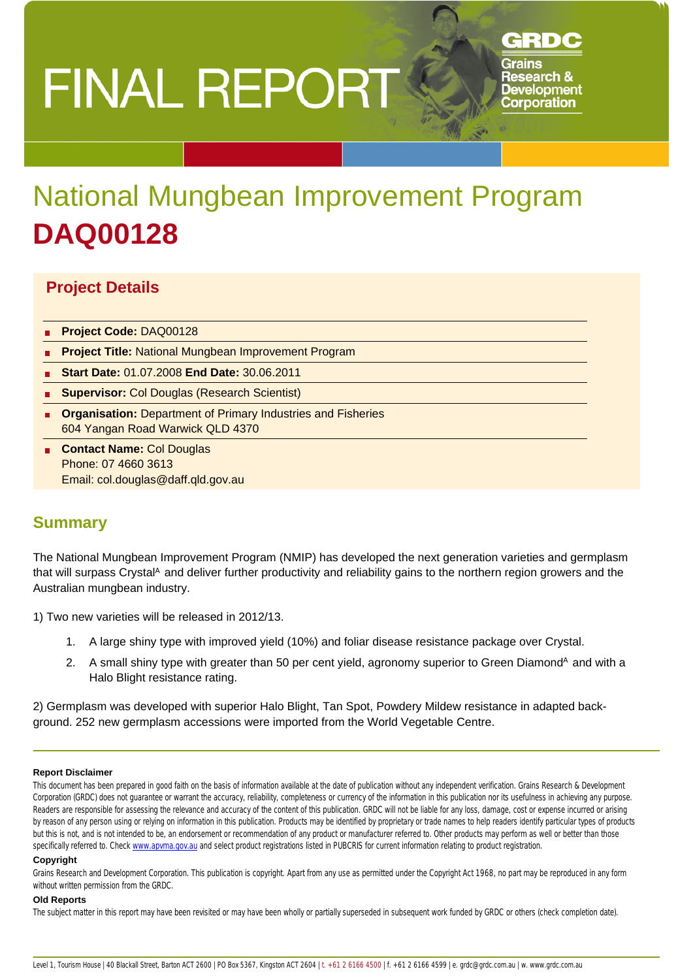# **FINAL REPORT**

# GRDC

Grains **Research & Development Corporation** 

# National Mungbean Improvement Program **DAQ00128**

# **Project Details**

- **Project Code:** DAQ00128
- **Project Title:** National Mungbean Improvement Program
- **Start Date:** 01.07.2008 **End Date:** 30.06.2011
- **Supervisor:** Col Douglas (Research Scientist)
- **Organisation:** Department of Primary Industries and Fisheries 604 Yangan Road Warwick QLD 4370
- **Contact Name:** Col Douglas Phone: 07 4660 3613 Email: col.douglas@daff.qld.gov.au

# **Summary**

The National Mungbean Improvement Program (NMIP) has developed the next generation varieties and germplasm that will surpass Crystal<sup>A</sup> and deliver further productivity and reliability gains to the northern region growers and the Australian mungbean industry.

1) Two new varieties will be released in 2012/13.

- 1. A large shiny type with improved yield (10%) and foliar disease resistance package over Crystal.
- 2. A small shiny type with greater than 50 per cent yield, agronomy superior to Green Diamond<sup>A</sup> and with a Halo Blight resistance rating.

2) Germplasm was developed with superior Halo Blight, Tan Spot, Powdery Mildew resistance in adapted background. 252 new germplasm accessions were imported from the World Vegetable Centre.

#### **Report Disclaimer**

This document has been prepared in good faith on the basis of information available at the date of publication without any independent verification. Grains Research & Development Corporation (GRDC) does not quarantee or warrant the accuracy, reliability, completeness or currency of the information in this publication nor its usefulness in achieving any purpose. Readers are responsible for assessing the relevance and accuracy of the content of this publication. GRDC will not be liable for any loss, damage, cost or expense incurred or arising by reason of any person using or relying on information in this publication. Products may be identified by proprietary or trade names to help readers identify particular types of products but this is not, and is not intended to be, an endorsement or recommendation of any product or manufacturer referred to. Other products may perform as well or better than those specifically referred to. Check www.apvma.gov.au and select product registrations listed in PUBCRIS for current information relating to product registration.

#### **Copyright**

Grains Research and Development Corporation. This publication is copyright. Apart from any use as permitted under the Copyright Act 1968, no part may be reproduced in any form without written permission from the GRDC.

#### **Old Reports**

The subject matter in this report may have been revisited or may have been wholly or partially superseded in subsequent work funded by GRDC or others (check completion date).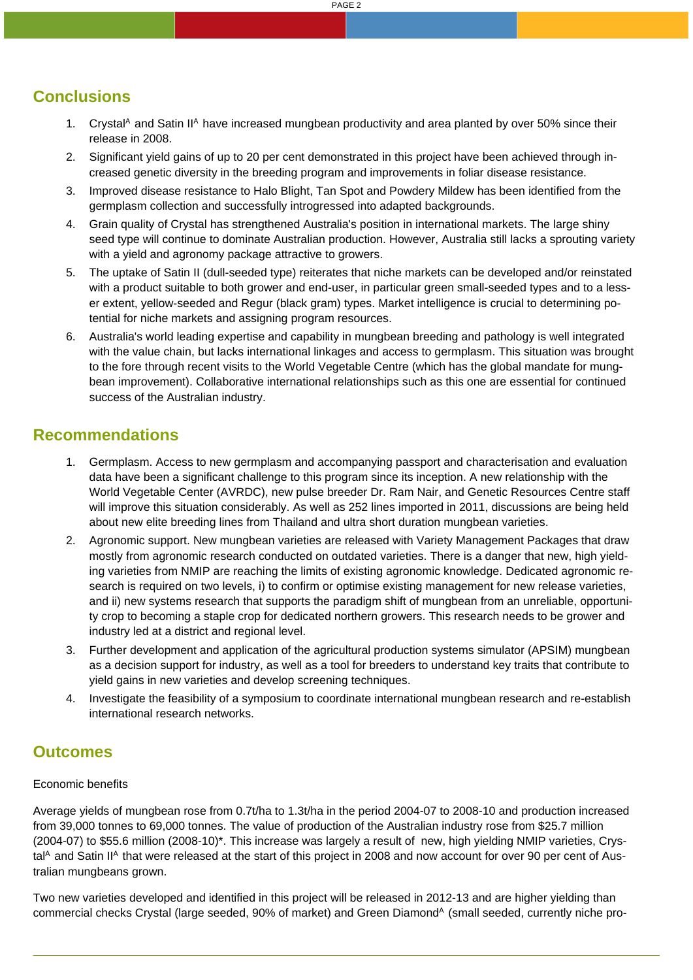PAGE 2

# **Conclusions**

- 1. Crystal<sup>A</sup> and Satin II<sup>A</sup> have increased mungbean productivity and area planted by over 50% since their release in 2008.
- 2. Significant yield gains of up to 20 per cent demonstrated in this project have been achieved through increased genetic diversity in the breeding program and improvements in foliar disease resistance.
- 3. Improved disease resistance to Halo Blight, Tan Spot and Powdery Mildew has been identified from the germplasm collection and successfully introgressed into adapted backgrounds.
- 4. Grain quality of Crystal has strengthened Australia's position in international markets. The large shiny seed type will continue to dominate Australian production. However, Australia still lacks a sprouting variety with a yield and agronomy package attractive to growers.
- 5. The uptake of Satin II (dull-seeded type) reiterates that niche markets can be developed and/or reinstated with a product suitable to both grower and end-user, in particular green small-seeded types and to a lesser extent, yellow-seeded and Regur (black gram) types. Market intelligence is crucial to determining potential for niche markets and assigning program resources.
- 6. Australia's world leading expertise and capability in mungbean breeding and pathology is well integrated with the value chain, but lacks international linkages and access to germplasm. This situation was brought to the fore through recent visits to the World Vegetable Centre (which has the global mandate for mungbean improvement). Collaborative international relationships such as this one are essential for continued success of the Australian industry.

# **Recommendations**

- 1. Germplasm. Access to new germplasm and accompanying passport and characterisation and evaluation data have been a significant challenge to this program since its inception. A new relationship with the World Vegetable Center (AVRDC), new pulse breeder Dr. Ram Nair, and Genetic Resources Centre staff will improve this situation considerably. As well as 252 lines imported in 2011, discussions are being held about new elite breeding lines from Thailand and ultra short duration mungbean varieties.
- 2. Agronomic support. New mungbean varieties are released with Variety Management Packages that draw mostly from agronomic research conducted on outdated varieties. There is a danger that new, high yielding varieties from NMIP are reaching the limits of existing agronomic knowledge. Dedicated agronomic research is required on two levels, i) to confirm or optimise existing management for new release varieties, and ii) new systems research that supports the paradigm shift of mungbean from an unreliable, opportunity crop to becoming a staple crop for dedicated northern growers. This research needs to be grower and industry led at a district and regional level.
- 3. Further development and application of the agricultural production systems simulator (APSIM) mungbean as a decision support for industry, as well as a tool for breeders to understand key traits that contribute to yield gains in new varieties and develop screening techniques.
- 4. Investigate the feasibility of a symposium to coordinate international mungbean research and re-establish international research networks.

# **Outcomes**

#### Economic benefits

Average yields of mungbean rose from 0.7t/ha to 1.3t/ha in the period 2004-07 to 2008-10 and production increased from 39,000 tonnes to 69,000 tonnes. The value of production of the Australian industry rose from \$25.7 million (2004-07) to \$55.6 million (2008-10)\*. This increase was largely a result of new, high yielding NMIP varieties, Crystal $^{\circ}$  and Satin II<sup>A</sup> that were released at the start of this project in 2008 and now account for over 90 per cent of Australian mungbeans grown.

Two new varieties developed and identified in this project will be released in 2012-13 and are higher yielding than commercial checks Crystal (large seeded, 90% of market) and Green Diamond<sup>A</sup> (small seeded, currently niche pro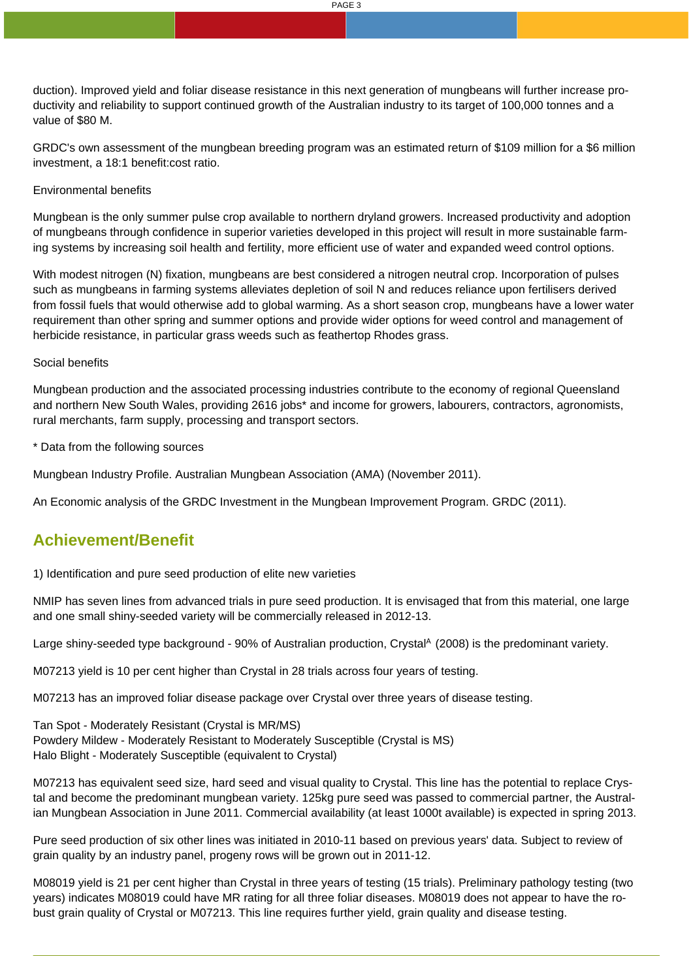duction). Improved yield and foliar disease resistance in this next generation of mungbeans will further increase productivity and reliability to support continued growth of the Australian industry to its target of 100,000 tonnes and a value of \$80 M.

GRDC's own assessment of the mungbean breeding program was an estimated return of \$109 million for a \$6 million investment, a 18:1 benefit:cost ratio.

#### Environmental benefits

Mungbean is the only summer pulse crop available to northern dryland growers. Increased productivity and adoption of mungbeans through confidence in superior varieties developed in this project will result in more sustainable farming systems by increasing soil health and fertility, more efficient use of water and expanded weed control options.

With modest nitrogen (N) fixation, mungbeans are best considered a nitrogen neutral crop. Incorporation of pulses such as mungbeans in farming systems alleviates depletion of soil N and reduces reliance upon fertilisers derived from fossil fuels that would otherwise add to global warming. As a short season crop, mungbeans have a lower water requirement than other spring and summer options and provide wider options for weed control and management of herbicide resistance, in particular grass weeds such as feathertop Rhodes grass.

#### Social benefits

Mungbean production and the associated processing industries contribute to the economy of regional Queensland and northern New South Wales, providing 2616 jobs\* and income for growers, labourers, contractors, agronomists, rural merchants, farm supply, processing and transport sectors.

\* Data from the following sources

Mungbean Industry Profile. Australian Mungbean Association (AMA) (November 2011).

An Economic analysis of the GRDC Investment in the Mungbean Improvement Program. GRDC (2011).

# **Achievement/Benefit**

1) Identification and pure seed production of elite new varieties

NMIP has seven lines from advanced trials in pure seed production. It is envisaged that from this material, one large and one small shiny-seeded variety will be commercially released in 2012-13.

Large shiny-seeded type background - 90% of Australian production, Crystal<sup>A</sup> (2008) is the predominant variety.

M07213 yield is 10 per cent higher than Crystal in 28 trials across four years of testing.

M07213 has an improved foliar disease package over Crystal over three years of disease testing.

Tan Spot - Moderately Resistant (Crystal is MR/MS) Powdery Mildew - Moderately Resistant to Moderately Susceptible (Crystal is MS) Halo Blight - Moderately Susceptible (equivalent to Crystal)

M07213 has equivalent seed size, hard seed and visual quality to Crystal. This line has the potential to replace Crystal and become the predominant mungbean variety. 125kg pure seed was passed to commercial partner, the Australian Mungbean Association in June 2011. Commercial availability (at least 1000t available) is expected in spring 2013.

Pure seed production of six other lines was initiated in 2010-11 based on previous years' data. Subject to review of grain quality by an industry panel, progeny rows will be grown out in 2011-12.

M08019 yield is 21 per cent higher than Crystal in three years of testing (15 trials). Preliminary pathology testing (two years) indicates M08019 could have MR rating for all three foliar diseases. M08019 does not appear to have the robust grain quality of Crystal or M07213. This line requires further yield, grain quality and disease testing.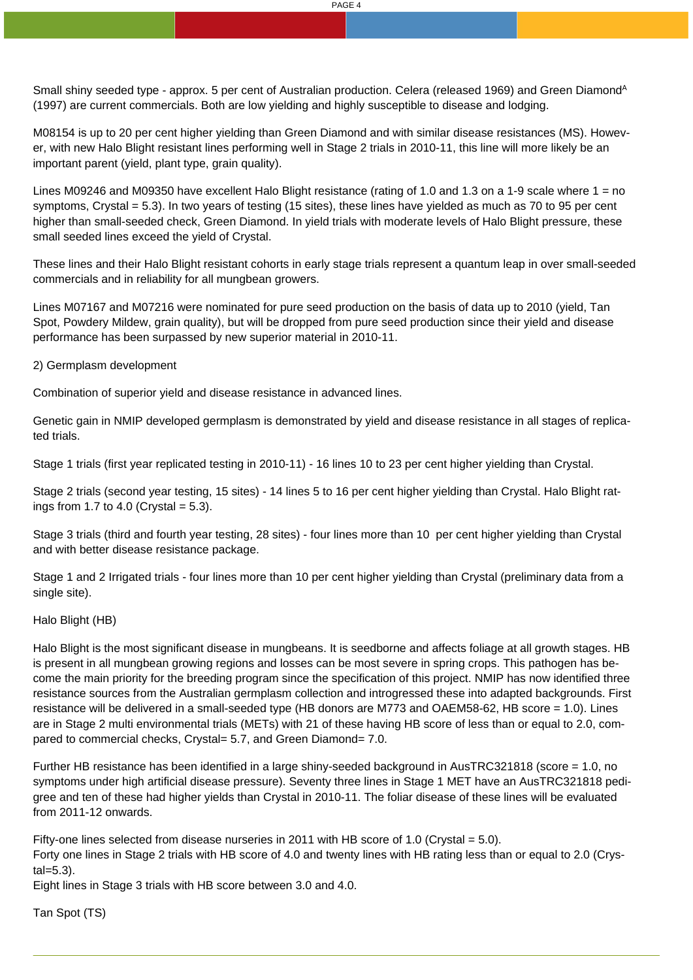Small shiny seeded type - approx. 5 per cent of Australian production. Celera (released 1969) and Green Diamond<sup>A</sup> (1997) are current commercials. Both are low yielding and highly susceptible to disease and lodging.

M08154 is up to 20 per cent higher yielding than Green Diamond and with similar disease resistances (MS). However, with new Halo Blight resistant lines performing well in Stage 2 trials in 2010-11, this line will more likely be an important parent (yield, plant type, grain quality).

Lines M09246 and M09350 have excellent Halo Blight resistance (rating of 1.0 and 1.3 on a 1-9 scale where 1 = no symptoms, Crystal = 5.3). In two years of testing (15 sites), these lines have yielded as much as 70 to 95 per cent higher than small-seeded check, Green Diamond. In yield trials with moderate levels of Halo Blight pressure, these small seeded lines exceed the yield of Crystal.

These lines and their Halo Blight resistant cohorts in early stage trials represent a quantum leap in over small-seeded commercials and in reliability for all mungbean growers.

Lines M07167 and M07216 were nominated for pure seed production on the basis of data up to 2010 (yield, Tan Spot, Powdery Mildew, grain quality), but will be dropped from pure seed production since their yield and disease performance has been surpassed by new superior material in 2010-11.

2) Germplasm development

Combination of superior yield and disease resistance in advanced lines.

Genetic gain in NMIP developed germplasm is demonstrated by yield and disease resistance in all stages of replicated trials.

Stage 1 trials (first year replicated testing in 2010-11) - 16 lines 10 to 23 per cent higher yielding than Crystal.

Stage 2 trials (second year testing, 15 sites) - 14 lines 5 to 16 per cent higher yielding than Crystal. Halo Blight ratings from 1.7 to 4.0 (Crystal  $= 5.3$ ).

Stage 3 trials (third and fourth year testing, 28 sites) - four lines more than 10 per cent higher yielding than Crystal and with better disease resistance package.

Stage 1 and 2 Irrigated trials - four lines more than 10 per cent higher yielding than Crystal (preliminary data from a single site).

Halo Blight (HB)

Halo Blight is the most significant disease in mungbeans. It is seedborne and affects foliage at all growth stages. HB is present in all mungbean growing regions and losses can be most severe in spring crops. This pathogen has become the main priority for the breeding program since the specification of this project. NMIP has now identified three resistance sources from the Australian germplasm collection and introgressed these into adapted backgrounds. First resistance will be delivered in a small-seeded type (HB donors are M773 and OAEM58-62, HB score = 1.0). Lines are in Stage 2 multi environmental trials (METs) with 21 of these having HB score of less than or equal to 2.0, compared to commercial checks, Crystal= 5.7, and Green Diamond= 7.0.

Further HB resistance has been identified in a large shiny-seeded background in AusTRC321818 (score = 1.0, no symptoms under high artificial disease pressure). Seventy three lines in Stage 1 MET have an AusTRC321818 pedigree and ten of these had higher yields than Crystal in 2010-11. The foliar disease of these lines will be evaluated from 2011-12 onwards.

Fifty-one lines selected from disease nurseries in 2011 with HB score of 1.0 (Crystal  $= 5.0$ ). Forty one lines in Stage 2 trials with HB score of 4.0 and twenty lines with HB rating less than or equal to 2.0 (Crystal=5.3).

Eight lines in Stage 3 trials with HB score between 3.0 and 4.0.

Tan Spot (TS)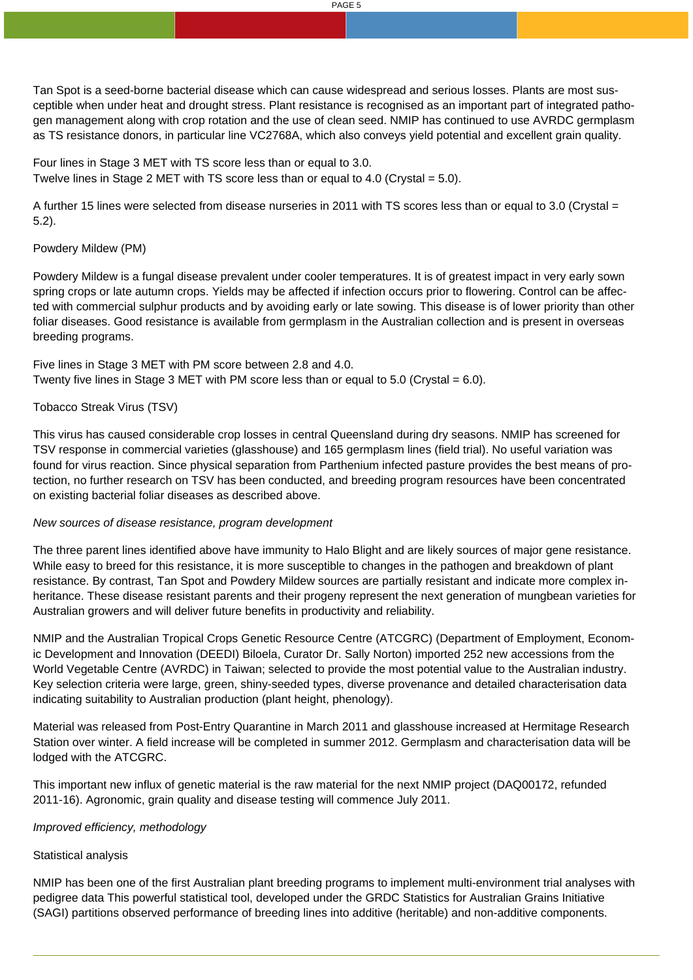Tan Spot is a seed-borne bacterial disease which can cause widespread and serious losses. Plants are most susceptible when under heat and drought stress. Plant resistance is recognised as an important part of integrated pathogen management along with crop rotation and the use of clean seed. NMIP has continued to use AVRDC germplasm as TS resistance donors, in particular line VC2768A, which also conveys yield potential and excellent grain quality.

Four lines in Stage 3 MET with TS score less than or equal to 3.0. Twelve lines in Stage 2 MET with TS score less than or equal to 4.0 (Crystal  $= 5.0$ ).

A further 15 lines were selected from disease nurseries in 2011 with TS scores less than or equal to 3.0 (Crystal = 5.2).

#### Powdery Mildew (PM)

Powdery Mildew is a fungal disease prevalent under cooler temperatures. It is of greatest impact in very early sown spring crops or late autumn crops. Yields may be affected if infection occurs prior to flowering. Control can be affected with commercial sulphur products and by avoiding early or late sowing. This disease is of lower priority than other foliar diseases. Good resistance is available from germplasm in the Australian collection and is present in overseas breeding programs.

Five lines in Stage 3 MET with PM score between 2.8 and 4.0. Twenty five lines in Stage 3 MET with PM score less than or equal to 5.0 (Crystal  $= 6.0$ ).

#### Tobacco Streak Virus (TSV)

This virus has caused considerable crop losses in central Queensland during dry seasons. NMIP has screened for TSV response in commercial varieties (glasshouse) and 165 germplasm lines (field trial). No useful variation was found for virus reaction. Since physical separation from Parthenium infected pasture provides the best means of protection, no further research on TSV has been conducted, and breeding program resources have been concentrated on existing bacterial foliar diseases as described above.

#### New sources of disease resistance, program development

The three parent lines identified above have immunity to Halo Blight and are likely sources of major gene resistance. While easy to breed for this resistance, it is more susceptible to changes in the pathogen and breakdown of plant resistance. By contrast, Tan Spot and Powdery Mildew sources are partially resistant and indicate more complex inheritance. These disease resistant parents and their progeny represent the next generation of mungbean varieties for Australian growers and will deliver future benefits in productivity and reliability.

NMIP and the Australian Tropical Crops Genetic Resource Centre (ATCGRC) (Department of Employment, Economic Development and Innovation (DEEDI) Biloela, Curator Dr. Sally Norton) imported 252 new accessions from the World Vegetable Centre (AVRDC) in Taiwan; selected to provide the most potential value to the Australian industry. Key selection criteria were large, green, shiny-seeded types, diverse provenance and detailed characterisation data indicating suitability to Australian production (plant height, phenology).

Material was released from Post-Entry Quarantine in March 2011 and glasshouse increased at Hermitage Research Station over winter. A field increase will be completed in summer 2012. Germplasm and characterisation data will be lodged with the ATCGRC.

This important new influx of genetic material is the raw material for the next NMIP project (DAQ00172, refunded 2011-16). Agronomic, grain quality and disease testing will commence July 2011.

#### Improved efficiency, methodology

#### Statistical analysis

NMIP has been one of the first Australian plant breeding programs to implement multi-environment trial analyses with pedigree data This powerful statistical tool, developed under the GRDC Statistics for Australian Grains Initiative (SAGI) partitions observed performance of breeding lines into additive (heritable) and non-additive components.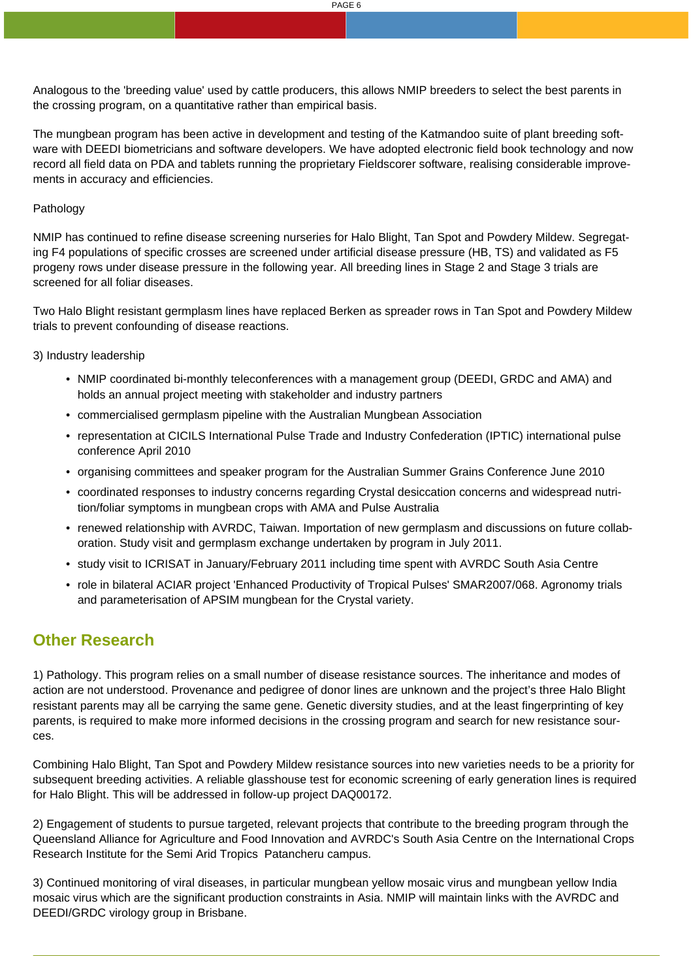Analogous to the 'breeding value' used by cattle producers, this allows NMIP breeders to select the best parents in the crossing program, on a quantitative rather than empirical basis.

The mungbean program has been active in development and testing of the Katmandoo suite of plant breeding software with DEEDI biometricians and software developers. We have adopted electronic field book technology and now record all field data on PDA and tablets running the proprietary Fieldscorer software, realising considerable improvements in accuracy and efficiencies.

#### Pathology

NMIP has continued to refine disease screening nurseries for Halo Blight, Tan Spot and Powdery Mildew. Segregating F4 populations of specific crosses are screened under artificial disease pressure (HB, TS) and validated as F5 progeny rows under disease pressure in the following year. All breeding lines in Stage 2 and Stage 3 trials are screened for all foliar diseases.

Two Halo Blight resistant germplasm lines have replaced Berken as spreader rows in Tan Spot and Powdery Mildew trials to prevent confounding of disease reactions.

3) Industry leadership

- NMIP coordinated bi-monthly teleconferences with a management group (DEEDI, GRDC and AMA) and holds an annual project meeting with stakeholder and industry partners
- commercialised germplasm pipeline with the Australian Mungbean Association
- representation at CICILS International Pulse Trade and Industry Confederation (IPTIC) international pulse conference April 2010
- organising committees and speaker program for the Australian Summer Grains Conference June 2010
- coordinated responses to industry concerns regarding Crystal desiccation concerns and widespread nutrition/foliar symptoms in mungbean crops with AMA and Pulse Australia
- renewed relationship with AVRDC, Taiwan. Importation of new germplasm and discussions on future collaboration. Study visit and germplasm exchange undertaken by program in July 2011.
- study visit to ICRISAT in January/February 2011 including time spent with AVRDC South Asia Centre
- role in bilateral ACIAR project 'Enhanced Productivity of Tropical Pulses' SMAR2007/068. Agronomy trials and parameterisation of APSIM mungbean for the Crystal variety.

# **Other Research**

1) Pathology. This program relies on a small number of disease resistance sources. The inheritance and modes of action are not understood. Provenance and pedigree of donor lines are unknown and the project's three Halo Blight resistant parents may all be carrying the same gene. Genetic diversity studies, and at the least fingerprinting of key parents, is required to make more informed decisions in the crossing program and search for new resistance sources.

Combining Halo Blight, Tan Spot and Powdery Mildew resistance sources into new varieties needs to be a priority for subsequent breeding activities. A reliable glasshouse test for economic screening of early generation lines is required for Halo Blight. This will be addressed in follow-up project DAQ00172.

2) Engagement of students to pursue targeted, relevant projects that contribute to the breeding program through the Queensland Alliance for Agriculture and Food Innovation and AVRDC's South Asia Centre on the International Crops Research Institute for the Semi Arid Tropics Patancheru campus.

3) Continued monitoring of viral diseases, in particular mungbean yellow mosaic virus and mungbean yellow India mosaic virus which are the significant production constraints in Asia. NMIP will maintain links with the AVRDC and DEEDI/GRDC virology group in Brisbane.